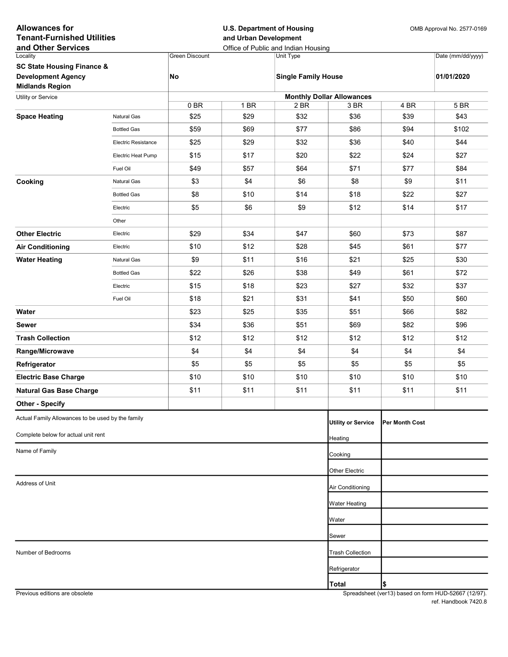| <b>Allowances for</b><br><b>Tenant-Furnished Utilities</b><br>and Other Services |                     |                       |                  | <b>U.S. Department of Housing</b><br>and Urban Development<br>Office of Public and Indian Housing |                                          |                | OMB Approval No. 2577-0169 |  |
|----------------------------------------------------------------------------------|---------------------|-----------------------|------------------|---------------------------------------------------------------------------------------------------|------------------------------------------|----------------|----------------------------|--|
| Locality                                                                         |                     | <b>Green Discount</b> |                  | Unit Type                                                                                         |                                          |                | Date (mm/dd/yyyy)          |  |
| <b>SC State Housing Finance &amp;</b>                                            |                     |                       |                  |                                                                                                   |                                          |                |                            |  |
| <b>Development Agency</b>                                                        |                     | No                    |                  | <b>Single Family House</b>                                                                        |                                          |                | 01/01/2020                 |  |
| <b>Midlands Region</b>                                                           |                     |                       |                  |                                                                                                   |                                          |                |                            |  |
| Utility or Service                                                               |                     | 0BR                   | 1 BR             | 2 BR                                                                                              | <b>Monthly Dollar Allowances</b><br>3 BR | 4 BR           | 5 BR                       |  |
| <b>Space Heating</b>                                                             | Natural Gas         | \$25                  | \$29             | \$32                                                                                              | \$36                                     | \$39           | \$43                       |  |
|                                                                                  | <b>Bottled Gas</b>  | \$59                  | \$69             | \$77                                                                                              | \$86                                     | \$94           | \$102                      |  |
|                                                                                  | Electric Resistance | \$25                  | \$29             | \$32                                                                                              | \$36                                     | \$40           | \$44                       |  |
|                                                                                  | Electric Heat Pump  | \$15                  | \$17             | \$20                                                                                              | \$22                                     | \$24           | \$27                       |  |
|                                                                                  | Fuel Oil            | \$49                  | \$57             | \$64                                                                                              | \$71                                     | \$77           | \$84                       |  |
| Cooking                                                                          | Natural Gas         | \$3                   | \$4              | \$6                                                                                               | \$8                                      | \$9            | \$11                       |  |
|                                                                                  | <b>Bottled Gas</b>  | \$8                   | \$10             | \$14                                                                                              | \$18                                     | \$22           | \$27                       |  |
|                                                                                  | Electric            | \$5                   | \$6              | \$9                                                                                               | \$12                                     | \$14           | \$17                       |  |
|                                                                                  | Other               |                       |                  |                                                                                                   |                                          |                |                            |  |
| <b>Other Electric</b>                                                            | Electric            | \$29                  | \$34             | \$47                                                                                              | \$60                                     | \$73           | \$87                       |  |
| <b>Air Conditioning</b>                                                          | Electric            | \$10                  | \$12             | \$28                                                                                              | \$45                                     | \$61           | \$77                       |  |
| <b>Water Heating</b>                                                             | Natural Gas         | \$9                   | \$11             | \$16                                                                                              | \$21                                     | \$25           | \$30                       |  |
|                                                                                  | <b>Bottled Gas</b>  | \$22                  | \$26             | \$38                                                                                              | \$49                                     | \$61           | \$72                       |  |
|                                                                                  | Electric            | \$15                  | \$18             | \$23                                                                                              | \$27                                     | \$32           | \$37                       |  |
|                                                                                  | Fuel Oil            | \$18                  | \$21             | \$31                                                                                              | \$41                                     | \$50           | \$60                       |  |
| Water                                                                            |                     | \$23                  | \$25             | \$35                                                                                              | \$51                                     | \$66           | \$82                       |  |
| Sewer                                                                            |                     | \$34                  | \$36             | \$51                                                                                              | \$69                                     | \$82           | \$96                       |  |
| <b>Trash Collection</b>                                                          |                     | \$12                  | \$12             | \$12                                                                                              | \$12                                     | \$12           | \$12                       |  |
| Range/Microwave                                                                  |                     | \$4                   | \$4              | \$4                                                                                               | \$4                                      | \$4            | \$4                        |  |
| Refrigerator                                                                     |                     | \$5                   | \$5              | \$5                                                                                               | \$5                                      | \$5            | \$5                        |  |
| <b>Electric Base Charge</b>                                                      |                     | \$10                  | \$10             | \$10                                                                                              | \$10                                     | \$10           | \$10                       |  |
| <b>Natural Gas Base Charge</b>                                                   |                     | \$11                  | \$11             | \$11                                                                                              | \$11                                     | \$11           | \$11                       |  |
| <b>Other - Specify</b>                                                           |                     |                       |                  |                                                                                                   |                                          |                |                            |  |
| Actual Family Allowances to be used by the family                                |                     |                       |                  |                                                                                                   | <b>Utility or Service</b>                | Per Month Cost |                            |  |
| Complete below for actual unit rent                                              |                     |                       |                  |                                                                                                   |                                          |                |                            |  |
|                                                                                  |                     |                       |                  |                                                                                                   | Heating                                  |                |                            |  |
| Name of Family                                                                   |                     |                       |                  |                                                                                                   | Cooking                                  |                |                            |  |
|                                                                                  |                     |                       |                  |                                                                                                   | Other Electric                           |                |                            |  |
| Address of Unit                                                                  |                     |                       | Air Conditioning |                                                                                                   |                                          |                |                            |  |
|                                                                                  |                     |                       |                  |                                                                                                   | Water Heating                            |                |                            |  |
|                                                                                  |                     |                       |                  |                                                                                                   | Water                                    |                |                            |  |
|                                                                                  |                     |                       |                  |                                                                                                   |                                          |                |                            |  |
|                                                                                  |                     |                       |                  |                                                                                                   | Sewer                                    |                |                            |  |
| Number of Bedrooms                                                               |                     |                       |                  |                                                                                                   | <b>Trash Collection</b>                  |                |                            |  |
|                                                                                  |                     |                       |                  |                                                                                                   | Refrigerator                             |                |                            |  |
|                                                                                  |                     |                       |                  |                                                                                                   | <b>Total</b>                             | \$             |                            |  |

Previous editions are obsolete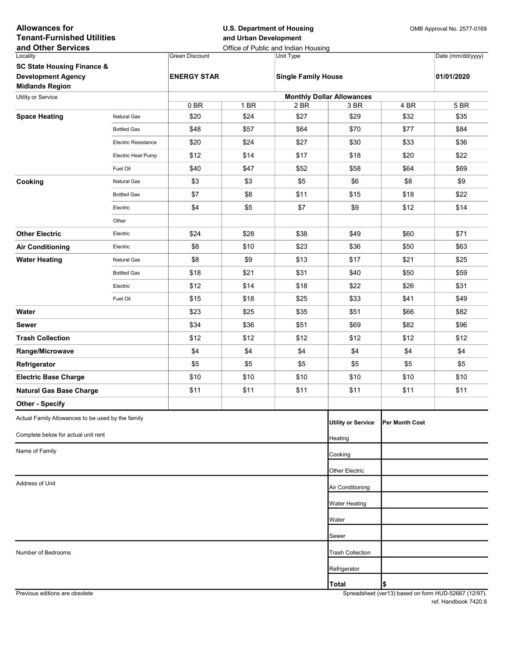| <b>Allowances for</b><br><b>Tenant-Furnished Utilities</b><br>and Other Services |                            |                    | <b>U.S. Department of Housing</b><br>and Urban Development<br>Office of Public and Indian Housing |                            |                                  |                | OMB Approval No. 2577-0169 |  |
|----------------------------------------------------------------------------------|----------------------------|--------------------|---------------------------------------------------------------------------------------------------|----------------------------|----------------------------------|----------------|----------------------------|--|
| Locality                                                                         |                            | Green Discount     |                                                                                                   | Unit Type                  |                                  |                | Date (mm/dd/yyyy)          |  |
| <b>SC State Housing Finance &amp;</b>                                            |                            |                    |                                                                                                   |                            |                                  |                |                            |  |
| <b>Development Agency</b><br><b>Midlands Region</b>                              |                            | <b>ENERGY STAR</b> |                                                                                                   | <b>Single Family House</b> |                                  |                | 01/01/2020                 |  |
| Utility or Service                                                               |                            |                    |                                                                                                   |                            | <b>Monthly Dollar Allowances</b> |                |                            |  |
|                                                                                  |                            | 0 <sub>BR</sub>    | 1 BR                                                                                              | 2 BR                       | 3 BR                             | 4 BR           | 5 BR                       |  |
| <b>Space Heating</b>                                                             | <b>Natural Gas</b>         | \$20               | \$24                                                                                              | \$27                       | \$29                             | \$32           | \$35                       |  |
|                                                                                  | <b>Bottled Gas</b>         | \$48               | \$57                                                                                              | \$64                       | \$70                             | \$77           | \$84                       |  |
|                                                                                  | <b>Electric Resistance</b> | \$20               | \$24                                                                                              | \$27                       | \$30                             | \$33           | \$36                       |  |
|                                                                                  | Electric Heat Pump         | \$12               | \$14                                                                                              | \$17                       | \$18                             | \$20           | \$22                       |  |
|                                                                                  | Fuel Oil                   | \$40               | \$47                                                                                              | \$52                       | \$58                             | \$64           | \$69                       |  |
| Cooking                                                                          | Natural Gas                | \$3                | \$3                                                                                               | \$5                        | \$6                              | \$8            | \$9                        |  |
|                                                                                  | <b>Bottled Gas</b>         | \$7                | \$8                                                                                               | \$11                       | \$15                             | \$18           | \$22                       |  |
|                                                                                  | Electric                   | \$4                | \$5                                                                                               | \$7                        | \$9                              | \$12           | \$14                       |  |
|                                                                                  | Other                      |                    |                                                                                                   |                            |                                  |                |                            |  |
| <b>Other Electric</b>                                                            | Electric                   | \$24               | \$28                                                                                              | \$38                       | \$49                             | \$60           | \$71                       |  |
| <b>Air Conditioning</b>                                                          | Electric                   | \$8                | \$10                                                                                              | \$23                       | \$36                             | \$50           | \$63                       |  |
| <b>Water Heating</b>                                                             | <b>Natural Gas</b>         | \$8                | \$9                                                                                               | \$13                       | \$17                             | \$21           | \$25                       |  |
|                                                                                  | <b>Bottled Gas</b>         | \$18               | \$21                                                                                              | \$31                       | \$40                             | \$50           | \$59                       |  |
|                                                                                  | Electric                   | \$12               | \$14                                                                                              | \$18                       | \$22                             | \$26           | \$31                       |  |
|                                                                                  | Fuel Oil                   | \$15               | \$18                                                                                              | \$25                       | \$33                             | \$41           | \$49                       |  |
| Water                                                                            |                            | \$23               | \$25                                                                                              | \$35                       | \$51                             | \$66           | \$82                       |  |
| Sewer                                                                            |                            | \$34               | \$36                                                                                              | \$51                       | \$69                             | \$82           | \$96                       |  |
| <b>Trash Collection</b>                                                          |                            | \$12               | \$12                                                                                              | \$12                       | \$12                             | \$12           | \$12                       |  |
| Range/Microwave                                                                  |                            | \$4                | \$4                                                                                               | \$4                        | \$4                              | \$4            | \$4                        |  |
| Refrigerator                                                                     |                            | \$5                | \$5                                                                                               | \$5                        | \$5                              | \$5            | \$5                        |  |
| <b>Electric Base Charge</b>                                                      |                            | \$10               | \$10                                                                                              | \$10                       | \$10                             | \$10           | \$10                       |  |
| <b>Natural Gas Base Charge</b>                                                   |                            | \$11               | \$11                                                                                              | \$11                       | \$11                             | \$11           | \$11                       |  |
| <b>Other - Specify</b>                                                           |                            |                    |                                                                                                   |                            |                                  |                |                            |  |
| Actual Family Allowances to be used by the family                                |                            |                    |                                                                                                   |                            | <b>Utility or Service</b>        | Per Month Cost |                            |  |
| Complete below for actual unit rent                                              |                            |                    |                                                                                                   |                            | Heating                          |                |                            |  |
| Name of Family                                                                   |                            |                    |                                                                                                   |                            |                                  |                |                            |  |
|                                                                                  |                            |                    |                                                                                                   |                            | Cooking                          |                |                            |  |
|                                                                                  |                            |                    |                                                                                                   |                            | Other Electric                   |                |                            |  |
| Address of Unit                                                                  |                            |                    |                                                                                                   |                            | Air Conditioning                 |                |                            |  |
|                                                                                  |                            |                    |                                                                                                   |                            | <b>Water Heating</b>             |                |                            |  |
|                                                                                  |                            |                    |                                                                                                   |                            | Water                            |                |                            |  |
|                                                                                  |                            |                    |                                                                                                   |                            | Sewer                            |                |                            |  |
| Number of Bedrooms                                                               |                            |                    |                                                                                                   |                            | <b>Trash Collection</b>          |                |                            |  |
|                                                                                  |                            |                    |                                                                                                   |                            | Refrigerator                     |                |                            |  |
|                                                                                  |                            |                    |                                                                                                   |                            | <b>Total</b>                     | \$             |                            |  |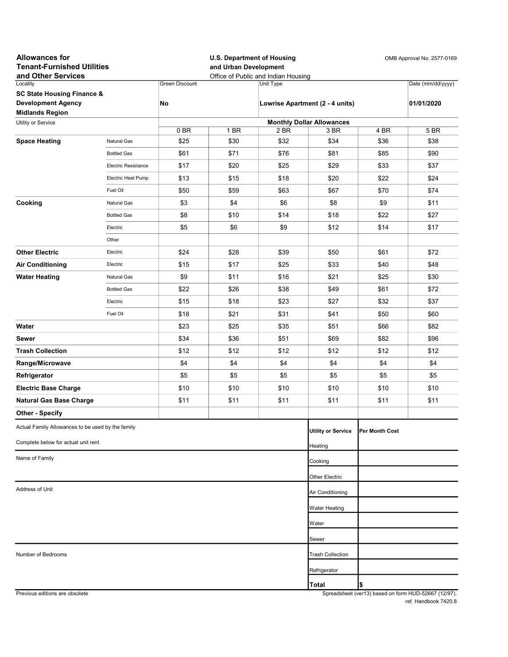| <b>Allowances for</b><br><b>Tenant-Furnished Utilities</b><br>and Other Services |                     |                  | and Urban Development | <b>U.S. Department of Housing</b><br>Office of Public and Indian Housing | OMB Approval No. 2577-0169               |                       |                                                      |
|----------------------------------------------------------------------------------|---------------------|------------------|-----------------------|--------------------------------------------------------------------------|------------------------------------------|-----------------------|------------------------------------------------------|
| Locality                                                                         |                     | Green Discount   |                       | Unit Type                                                                |                                          |                       | Date (mm/dd/yyyy)                                    |
| <b>SC State Housing Finance &amp;</b>                                            |                     |                  |                       |                                                                          |                                          |                       |                                                      |
| <b>Development Agency</b>                                                        |                     | No               |                       |                                                                          | Lowrise Apartment (2 - 4 units)          |                       | 01/01/2020                                           |
| <b>Midlands Region</b>                                                           |                     |                  |                       |                                                                          |                                          |                       |                                                      |
| Utility or Service                                                               |                     | 0B               | 1 BR                  | 2 BR                                                                     | <b>Monthly Dollar Allowances</b><br>3 BR | 4 BR                  | 5 BR                                                 |
| <b>Space Heating</b>                                                             | Natural Gas         | \$25             | \$30                  | \$32                                                                     | \$34                                     | \$36                  | \$38                                                 |
|                                                                                  | <b>Bottled Gas</b>  | \$61             | \$71                  | \$76                                                                     | \$81                                     | \$85                  | \$90                                                 |
|                                                                                  | Electric Resistance | \$17             | \$20                  | \$25                                                                     | \$29                                     | \$33                  | \$37                                                 |
|                                                                                  | Electric Heat Pump  | \$13             | \$15                  | \$18                                                                     | \$20                                     | \$22                  | \$24                                                 |
|                                                                                  | Fuel Oil            | \$50             | \$59                  | \$63                                                                     | \$67                                     | \$70                  | \$74                                                 |
| Cooking                                                                          | Natural Gas         | \$3              | \$4                   | \$6                                                                      | \$8                                      | \$9                   | \$11                                                 |
|                                                                                  | <b>Bottled Gas</b>  | \$8              | \$10                  | \$14                                                                     | \$18                                     | \$22                  | \$27                                                 |
|                                                                                  | Electric            | \$5              | \$6                   | \$9                                                                      | \$12                                     | \$14                  | \$17                                                 |
|                                                                                  | Other               |                  |                       |                                                                          |                                          |                       |                                                      |
| <b>Other Electric</b>                                                            | Electric            | \$24             | \$28                  | \$39                                                                     | \$50                                     | \$61                  | \$72                                                 |
| <b>Air Conditioning</b>                                                          | Electric            | \$15             | \$17                  | \$25                                                                     | \$33                                     | \$40                  | \$48                                                 |
| <b>Water Heating</b>                                                             | Natural Gas         | \$9              | \$11                  | \$16                                                                     | \$21                                     | \$25                  | \$30                                                 |
|                                                                                  | <b>Bottled Gas</b>  | \$22             | \$26                  | \$38                                                                     | \$49                                     | \$61                  | \$72                                                 |
|                                                                                  | Electric            | \$15             | \$18                  | \$23                                                                     | \$27                                     | \$32                  | \$37                                                 |
|                                                                                  | Fuel Oil            | \$18             | \$21                  | \$31                                                                     | \$41                                     | \$50                  | \$60                                                 |
| Water                                                                            |                     | \$23             | \$25                  | \$35                                                                     | \$51                                     | \$66                  | \$82                                                 |
| Sewer                                                                            |                     | \$34             | \$36                  | \$51                                                                     | \$69                                     | \$82                  | \$96                                                 |
| <b>Trash Collection</b>                                                          |                     | \$12             | \$12                  | \$12                                                                     | \$12                                     | \$12                  | \$12                                                 |
| Range/Microwave                                                                  |                     | \$4              | \$4                   | \$4                                                                      | \$4                                      | \$4                   | \$4                                                  |
| Refrigerator                                                                     |                     | \$5              | \$5                   | \$5                                                                      | \$5                                      | \$5                   | \$5                                                  |
| <b>Electric Base Charge</b>                                                      |                     | \$10             | \$10                  | \$10                                                                     | \$10                                     | \$10                  | \$10                                                 |
| <b>Natural Gas Base Charge</b>                                                   |                     | \$11             | \$11                  | \$11                                                                     | \$11                                     | \$11                  | \$11                                                 |
| <b>Other - Specify</b>                                                           |                     |                  |                       |                                                                          |                                          |                       |                                                      |
| Actual Family Allowances to be used by the family                                |                     |                  |                       |                                                                          | <b>Utility or Service</b>                | <b>Per Month Cost</b> |                                                      |
| Complete below for actual unit rent                                              |                     |                  |                       |                                                                          | Heating                                  |                       |                                                      |
| Name of Family                                                                   |                     |                  |                       |                                                                          | Cooking                                  |                       |                                                      |
|                                                                                  |                     |                  |                       |                                                                          | Other Electric                           |                       |                                                      |
| Address of Unit                                                                  |                     | Air Conditioning |                       |                                                                          |                                          |                       |                                                      |
|                                                                                  |                     |                  |                       |                                                                          | <b>Water Heating</b>                     |                       |                                                      |
|                                                                                  |                     |                  |                       |                                                                          | Water                                    |                       |                                                      |
|                                                                                  |                     |                  |                       |                                                                          | Sewer                                    |                       |                                                      |
| Number of Bedrooms                                                               |                     |                  |                       |                                                                          | <b>Trash Collection</b>                  |                       |                                                      |
|                                                                                  |                     |                  |                       |                                                                          | Refrigerator                             |                       |                                                      |
|                                                                                  |                     |                  |                       |                                                                          | Total                                    | \$                    |                                                      |
| Previous editions are obsolete                                                   |                     |                  |                       |                                                                          |                                          |                       | Spreadsheet (ver13) based on form HUD-52667 (12/97). |

ref. Handbook 7420.8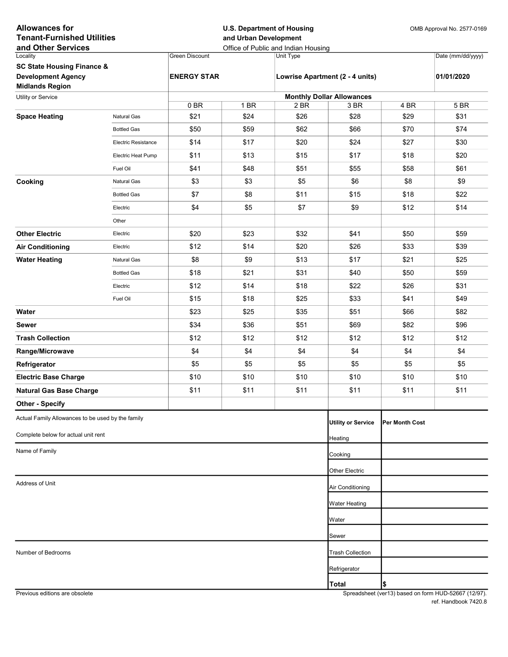| <b>Allowances for</b><br><b>Tenant-Furnished Utilities</b><br>and Other Services |                            |                    | <b>U.S. Department of Housing</b><br>and Urban Development<br>Office of Public and Indian Housing |                                  |                                 |                       | OMB Approval No. 2577-0169 |  |
|----------------------------------------------------------------------------------|----------------------------|--------------------|---------------------------------------------------------------------------------------------------|----------------------------------|---------------------------------|-----------------------|----------------------------|--|
| Locality                                                                         |                            | Green Discount     |                                                                                                   | Unit Type                        |                                 |                       | Date (mm/dd/yyyy)          |  |
| <b>SC State Housing Finance &amp;</b>                                            |                            |                    |                                                                                                   |                                  |                                 |                       |                            |  |
| <b>Development Agency</b><br><b>Midlands Region</b>                              |                            | <b>ENERGY STAR</b> |                                                                                                   |                                  | Lowrise Apartment (2 - 4 units) |                       | 01/01/2020                 |  |
| Utility or Service                                                               |                            |                    |                                                                                                   | <b>Monthly Dollar Allowances</b> |                                 |                       |                            |  |
|                                                                                  |                            | 0 <sub>BR</sub>    | 1 BR                                                                                              | 2 BR                             | 3 BR                            | 4 BR                  | 5 BR                       |  |
| <b>Space Heating</b>                                                             | <b>Natural Gas</b>         | \$21               | \$24                                                                                              | \$26                             | \$28                            | \$29                  | \$31                       |  |
|                                                                                  | <b>Bottled Gas</b>         | \$50               | \$59                                                                                              | \$62                             | \$66                            | \$70                  | \$74                       |  |
|                                                                                  | <b>Electric Resistance</b> | \$14               | \$17                                                                                              | \$20                             | \$24                            | \$27                  | \$30                       |  |
|                                                                                  | Electric Heat Pump         | \$11               | \$13                                                                                              | \$15                             | \$17                            | \$18                  | \$20                       |  |
|                                                                                  | Fuel Oil                   | \$41               | \$48                                                                                              | \$51                             | \$55                            | \$58                  | \$61                       |  |
| Cooking                                                                          | Natural Gas                | \$3                | \$3                                                                                               | \$5                              | \$6                             | \$8                   | \$9                        |  |
|                                                                                  | <b>Bottled Gas</b>         | \$7                | \$8                                                                                               | \$11                             | \$15                            | \$18                  | \$22                       |  |
|                                                                                  | Electric                   | \$4                | \$5                                                                                               | \$7                              | \$9                             | \$12                  | \$14                       |  |
|                                                                                  | Other                      |                    |                                                                                                   |                                  |                                 |                       |                            |  |
| <b>Other Electric</b>                                                            | Electric                   | \$20               | \$23                                                                                              | \$32                             | \$41                            | \$50                  | \$59                       |  |
| <b>Air Conditioning</b>                                                          | Electric                   | \$12               | \$14                                                                                              | \$20                             | \$26                            | \$33                  | \$39                       |  |
| <b>Water Heating</b>                                                             | <b>Natural Gas</b>         | \$8                | \$9                                                                                               | \$13                             | \$17                            | \$21                  | \$25                       |  |
|                                                                                  | <b>Bottled Gas</b>         | \$18               | \$21                                                                                              | \$31                             | \$40                            | \$50                  | \$59                       |  |
|                                                                                  | Electric                   | \$12               | \$14                                                                                              | \$18                             | \$22                            | \$26                  | \$31                       |  |
|                                                                                  | Fuel Oil                   | \$15               | \$18                                                                                              | \$25                             | \$33                            | \$41                  | \$49                       |  |
| Water                                                                            |                            | \$23               | \$25                                                                                              | \$35                             | \$51                            | \$66                  | \$82                       |  |
| Sewer                                                                            |                            | \$34               | \$36                                                                                              | \$51                             | \$69                            | \$82                  | \$96                       |  |
| <b>Trash Collection</b>                                                          |                            | \$12               | \$12                                                                                              | \$12                             | \$12                            | \$12                  | \$12                       |  |
| Range/Microwave                                                                  |                            | \$4                | \$4                                                                                               | \$4                              | \$4                             | \$4                   | \$4                        |  |
| Refrigerator                                                                     |                            | \$5                | \$5                                                                                               | \$5                              | \$5                             | \$5                   | \$5                        |  |
| <b>Electric Base Charge</b>                                                      |                            | \$10               | \$10                                                                                              | \$10                             | \$10                            | \$10                  | \$10                       |  |
| <b>Natural Gas Base Charge</b>                                                   |                            | \$11               | \$11                                                                                              | \$11                             | \$11                            | \$11                  | \$11                       |  |
| <b>Other - Specify</b>                                                           |                            |                    |                                                                                                   |                                  |                                 |                       |                            |  |
| Actual Family Allowances to be used by the family                                |                            |                    |                                                                                                   |                                  | <b>Utility or Service</b>       | <b>Per Month Cost</b> |                            |  |
| Complete below for actual unit rent                                              |                            |                    |                                                                                                   |                                  | Heating                         |                       |                            |  |
| Name of Family                                                                   |                            |                    |                                                                                                   |                                  | Cooking                         |                       |                            |  |
|                                                                                  |                            |                    |                                                                                                   |                                  |                                 |                       |                            |  |
|                                                                                  |                            |                    |                                                                                                   |                                  | Other Electric                  |                       |                            |  |
| Address of Unit                                                                  |                            |                    |                                                                                                   |                                  | Air Conditioning                |                       |                            |  |
|                                                                                  |                            |                    |                                                                                                   |                                  | <b>Water Heating</b>            |                       |                            |  |
|                                                                                  |                            |                    |                                                                                                   |                                  | Water                           |                       |                            |  |
|                                                                                  |                            |                    |                                                                                                   |                                  | Sewer                           |                       |                            |  |
| Number of Bedrooms                                                               |                            |                    |                                                                                                   |                                  | <b>Trash Collection</b>         |                       |                            |  |
|                                                                                  |                            |                    |                                                                                                   |                                  | Refrigerator                    |                       |                            |  |
|                                                                                  |                            |                    |                                                                                                   |                                  | <b>Total</b>                    | \$                    |                            |  |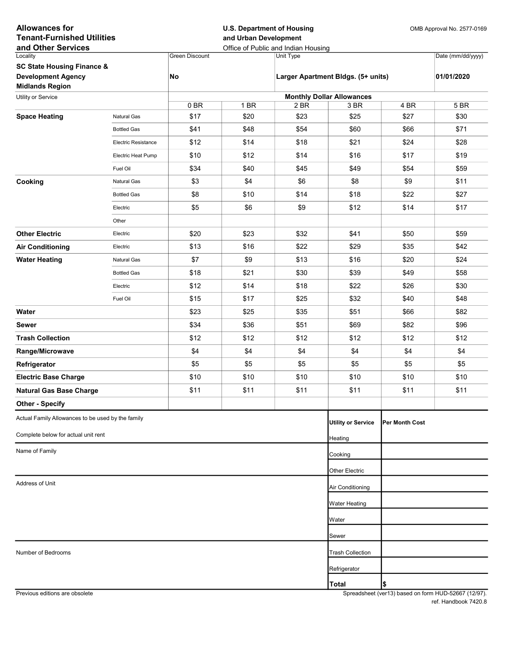| <b>Allowances for</b><br><b>Tenant-Furnished Utilities</b><br>and Other Services |                            |                                  | <b>U.S. Department of Housing</b><br>and Urban Development | Office of Public and Indian Housing | OMB Approval No. 2577-0169 |                 |                   |  |  |  |
|----------------------------------------------------------------------------------|----------------------------|----------------------------------|------------------------------------------------------------|-------------------------------------|----------------------------|-----------------|-------------------|--|--|--|
| Locality                                                                         |                            | <b>Green Discount</b>            |                                                            | Unit Type                           |                            |                 | Date (mm/dd/yyyy) |  |  |  |
| <b>SC State Housing Finance &amp;</b>                                            |                            |                                  |                                                            |                                     |                            |                 |                   |  |  |  |
| <b>Development Agency</b><br><b>Midlands Region</b>                              |                            | No                               |                                                            | Larger Apartment Bldgs. (5+ units)  |                            | 01/01/2020      |                   |  |  |  |
| Utility or Service                                                               |                            | <b>Monthly Dollar Allowances</b> |                                                            |                                     |                            |                 |                   |  |  |  |
|                                                                                  |                            | 0BR                              | 1 BR                                                       | 2 BR                                | 3 BR                       | 4 BR            | 5 BR              |  |  |  |
| <b>Space Heating</b>                                                             | Natural Gas                | \$17                             | \$20                                                       | \$23                                | \$25                       | \$27            | \$30              |  |  |  |
|                                                                                  | <b>Bottled Gas</b>         | \$41                             | \$48                                                       | \$54                                | \$60                       | \$66            | \$71              |  |  |  |
|                                                                                  | <b>Electric Resistance</b> | \$12                             | \$14                                                       | \$18                                | \$21                       | \$24            | \$28              |  |  |  |
|                                                                                  | Electric Heat Pump         | \$10                             | \$12                                                       | \$14                                | \$16                       | \$17            | \$19              |  |  |  |
|                                                                                  | Fuel Oil                   | \$34                             | \$40                                                       | \$45                                | \$49                       | \$54            | \$59              |  |  |  |
| Cooking                                                                          | Natural Gas                | \$3                              | \$4                                                        | \$6                                 | \$8                        | \$9             | \$11              |  |  |  |
|                                                                                  | <b>Bottled Gas</b>         | \$8                              | \$10                                                       | \$14                                | \$18                       | \$22            | \$27              |  |  |  |
|                                                                                  | Electric                   | \$5                              | \$6                                                        | \$9                                 | \$12                       | \$14            | \$17              |  |  |  |
|                                                                                  | Other                      |                                  |                                                            |                                     |                            |                 |                   |  |  |  |
| <b>Other Electric</b>                                                            | Electric                   | \$20                             | \$23                                                       | \$32                                | \$41                       | \$50            | \$59              |  |  |  |
| <b>Air Conditioning</b>                                                          | Electric                   | \$13                             | \$16                                                       | \$22                                | \$29                       | \$35            | \$42              |  |  |  |
| <b>Water Heating</b>                                                             | Natural Gas                | \$7                              | \$9                                                        | \$13                                | \$16                       | \$20            | \$24              |  |  |  |
|                                                                                  | <b>Bottled Gas</b>         | \$18                             | \$21                                                       | \$30                                | \$39                       | \$49            | \$58              |  |  |  |
|                                                                                  | Electric                   | \$12                             | \$14                                                       | \$18                                | \$22                       | \$26            | \$30              |  |  |  |
|                                                                                  | Fuel Oil                   | \$15                             | \$17                                                       | \$25                                | \$32                       | \$40            | \$48              |  |  |  |
| Water                                                                            |                            | \$23                             | \$25                                                       | \$35                                | \$51                       | \$66            | \$82              |  |  |  |
| Sewer                                                                            |                            | \$34                             | \$36                                                       | \$51                                | \$69                       | \$82            | \$96              |  |  |  |
| <b>Trash Collection</b>                                                          |                            | \$12                             | \$12                                                       | \$12                                | \$12                       | \$12            | \$12              |  |  |  |
|                                                                                  |                            | \$4                              | \$4                                                        | \$4                                 | \$4                        | \$4             | \$4               |  |  |  |
| Range/Microwave                                                                  |                            |                                  |                                                            |                                     |                            |                 |                   |  |  |  |
| Refrigerator                                                                     |                            | \$5                              | \$5                                                        | \$5                                 | \$5                        | \$5             | \$5               |  |  |  |
| <b>Electric Base Charge</b>                                                      |                            | \$10                             | \$10                                                       | \$10                                | \$10                       | \$10            | \$10              |  |  |  |
| <b>Natural Gas Base Charge</b>                                                   |                            | \$11                             | \$11                                                       | \$11                                | \$11                       | \$11            | \$11              |  |  |  |
| <b>Other - Specify</b>                                                           |                            |                                  |                                                            |                                     |                            |                 |                   |  |  |  |
| Actual Family Allowances to be used by the family                                |                            |                                  |                                                            |                                     | <b>Utility or Service</b>  | IPer Month Cost |                   |  |  |  |
| Complete below for actual unit rent                                              |                            |                                  |                                                            |                                     | Heating                    |                 |                   |  |  |  |
| Name of Family                                                                   |                            |                                  |                                                            |                                     |                            |                 |                   |  |  |  |
|                                                                                  |                            |                                  |                                                            |                                     | Cooking                    |                 |                   |  |  |  |
|                                                                                  |                            |                                  |                                                            |                                     | Other Electric             |                 |                   |  |  |  |
| Address of Unit                                                                  |                            |                                  | Air Conditioning                                           |                                     |                            |                 |                   |  |  |  |
|                                                                                  |                            |                                  |                                                            |                                     | Water Heating              |                 |                   |  |  |  |
|                                                                                  |                            |                                  |                                                            |                                     | Water                      |                 |                   |  |  |  |
|                                                                                  |                            |                                  |                                                            |                                     | Sewer                      |                 |                   |  |  |  |
| Number of Bedrooms                                                               |                            |                                  |                                                            |                                     | <b>Trash Collection</b>    |                 |                   |  |  |  |
|                                                                                  |                            |                                  |                                                            |                                     |                            |                 |                   |  |  |  |
|                                                                                  |                            |                                  |                                                            |                                     | Refrigerator               |                 |                   |  |  |  |
|                                                                                  |                            |                                  |                                                            |                                     | <b>Total</b>               | \$              |                   |  |  |  |

Previous editions are obsolete